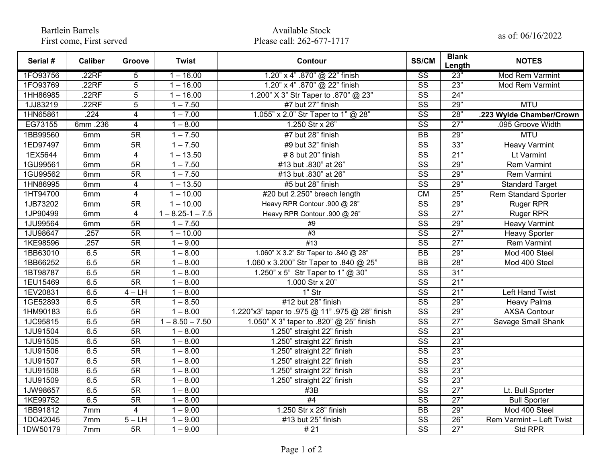Bartlein Barrels First come, First served

## Available Stock Available Stock<br>Please call: 262-677-1717 as of: 06/16/2022

| Serial # | <b>Caliber</b> | Groove                  | <b>Twist</b>         | Contour                                         | <b>SS/CM</b>           | <b>Blank</b><br>Length | <b>NOTES</b>                |
|----------|----------------|-------------------------|----------------------|-------------------------------------------------|------------------------|------------------------|-----------------------------|
| 1FO93756 | .22RF          | $\overline{5}$          | $1 - 16.00$          | 1.20" x 4" .870" @ 22" finish                   | $\overline{\text{ss}}$ | 23"                    | <b>Mod Rem Varmint</b>      |
| 1FO93769 | .22RF          | 5                       | $1 - 16.00$          | 1.20" x 4" .870" @ 22" finish                   | SS                     | 23"                    | Mod Rem Varmint             |
| 1HH86985 | .22RF          | 5                       | $1 - 16.00$          | 1.200" X 3" Str Taper to .870" @ 23"            | $\overline{\text{ss}}$ | 24"                    |                             |
| 1JJ83219 | .22RF          | 5                       | $1 - 7.50$           | #7 but 27" finish                               | SS                     | 29"                    | <b>MTU</b>                  |
| 1HN65861 | .224           | $\overline{4}$          | $1 - 7.00$           | 1.055" x 2.0" Str Taper to 1" @ 28"             | $\overline{\text{ss}}$ | 28"                    | .223 Wylde Chamber/Crown    |
| EG73155  | 6mm.236        | 4                       | $1 - 8.00$           | 1.250 Str x 26"                                 | $\overline{\text{ss}}$ | $\overline{27}$        | .095 Groove Width           |
| 1BB99560 | 6mm            | $\overline{5R}$         | $1 - 7.50$           | #7 but 28" finish                               | $\overline{BB}$        | 29"                    | <b>MTU</b>                  |
| 1ED97497 | 6mm            | 5R                      | $1 - 7.50$           | #9 but 32" finish                               | SS                     | 33"                    | <b>Heavy Varmint</b>        |
| 1EX5644  | 6mm            | $\overline{4}$          | $1 - 13.50$          | # 8 but 20" finish                              | $\overline{\text{ss}}$ | 21"                    | Lt Varmint                  |
| 1GU99561 | 6mm            | 5R                      | $1 - 7.50$           | #13 but .830" at 26"                            | $\overline{\text{ss}}$ | 29"                    | Rem Varmint                 |
| 1GU99562 | 6mm            | 5R                      | $1 - 7.50$           | #13 but .830" at 26"                            | SS                     | 29"                    | <b>Rem Varmint</b>          |
| 1HN86995 | 6mm            | $\overline{\mathbf{4}}$ | $1 - 13.50$          | #5 but 28" finish                               | $\overline{\text{ss}}$ | 29"                    | <b>Standard Target</b>      |
| 1HT94700 | 6mm            | $\overline{\mathbf{4}}$ | $1 - 10.00$          | #20 but 2.250" breech length                    | <b>CM</b>              | 25"                    | <b>Rem Standard Sporter</b> |
| 1JB73202 | 6mm            | 5R                      | $1 - 10.00$          | Heavy RPR Contour .900 @ 28"                    | SS                     | 29"                    | <b>Ruger RPR</b>            |
| 1JP90499 | 6mm            | $\overline{4}$          | $1 - 8.25 - 1 - 7.5$ | Heavy RPR Contour .900 @ 26"                    | $\overline{\text{ss}}$ | 27"                    | <b>Ruger RPR</b>            |
| 1JU99564 | 6mm            | 5R                      | $1 - 7.50$           | #9                                              | SS                     | 29"                    | <b>Heavy Varmint</b>        |
| 1JU98647 | .257           | 5R                      | $1 - 10.00$          | #3                                              | $\overline{\text{ss}}$ | $\overline{27"}$       | <b>Heavy Sporter</b>        |
| 1KE98596 | .257           | 5R                      | $1 - 9.00$           | #13                                             | $\overline{\text{ss}}$ | 27"                    | Rem Varmint                 |
| 1BB63010 | 6.5            | $\overline{5R}$         | $1 - 8.00$           | 1.060" X 3.2" Str Taper to .840 @ 28"           | $\overline{BB}$        | 29"                    | Mod 400 Steel               |
| 1BB66252 | 6.5            | $\overline{5R}$         | $1 - 8.00$           | 1.060 x 3.200" Str Taper to .840 @ 25"          | <b>BB</b>              | 28"                    | Mod 400 Steel               |
| 1BT98787 | 6.5            | 5R                      | $1 - 8.00$           | 1.250" x 5" Str Taper to 1" @ 30"               | $\overline{\text{ss}}$ | 31"                    |                             |
| 1EU15469 | 6.5            | $\overline{5R}$         | $1 - 8.00$           | 1.000 Str x 20"                                 | $\overline{\text{ss}}$ | 21"                    |                             |
| 1EV20831 | 6.5            | $4 - LH$                | $1 - 8.00$           | 1" Str                                          | $\overline{\text{ss}}$ | 21"                    | <b>Left Hand Twist</b>      |
| 1GE52893 | 6.5            | 5R                      | $1 - 8.50$           | #12 but 28" finish                              | $\overline{\text{ss}}$ | 29"                    | Heavy Palma                 |
| 1HM90183 | 6.5            | 5R                      | $1 - 8.00$           | 1.220"x3" taper to .975 @ 11" .975 @ 28" finish | $\overline{\text{ss}}$ | 29"                    | <b>AXSA Contour</b>         |
| 1JC95815 | 6.5            | 5R                      | $1 - 8.50 - 7.50$    | 1.050" X 3" taper to .820" @ 25" finish         | SS                     | 27"                    | Savage Small Shank          |
| 1JU91504 | 6.5            | 5R                      | $1 - 8.00$           | 1.250" straight 22" finish                      | $\overline{\text{SS}}$ | 23"                    |                             |
| 1JU91505 | 6.5            | 5R                      | $1 - 8.00$           | 1.250" straight 22" finish                      | SS                     | 23"                    |                             |
| 1JU91506 | 6.5            | 5R                      | $1 - 8.00$           | 1.250" straight 22" finish                      | SS                     | 23"                    |                             |
| 1JU91507 | 6.5            | 5R                      | $1 - 8.00$           | 1.250" straight 22" finish                      | $\overline{\text{ss}}$ | 23"                    |                             |
| 1JU91508 | 6.5            | 5R                      | $1 - 8.00$           | 1.250" straight 22" finish                      | SS                     | 23"                    |                             |
| 1JU91509 | 6.5            | 5R                      | $1 - 8.00$           | 1.250" straight 22" finish                      | $\overline{\text{SS}}$ | 23"                    |                             |
| 1JW98657 | 6.5            | 5R                      | $1 - 8.00$           | #3B                                             | $\overline{\text{ss}}$ | 27"                    | Lt. Bull Sporter            |
| 1KE99752 | 6.5            | $\overline{5R}$         | $1 - 8.00$           | #4                                              | SS                     | 27"                    | <b>Bull Sporter</b>         |
| 1BB91812 | 7mm            | 4                       | $1 - 9.00$           | 1.250 Str x 28" finish                          | $\overline{BB}$        | 29"                    | Mod 400 Steel               |
| 1DO42045 | 7mm            | $5 - LH$                | $1 - 9.00$           | #13 but 25" finish                              | $\overline{\text{ss}}$ | 26"                    | Rem Varmint - Left Twist    |
| 1DW50179 | 7mm            | 5R                      | $1 - 9.00$           | #21                                             | $\overline{\text{SS}}$ | 27"                    | Std RPR                     |